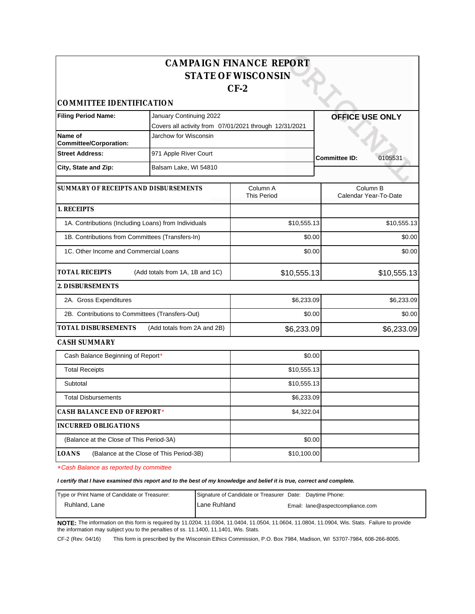|                                                           |                                                        | <b>CAMPAIGN FINANCE REPORT</b> |                                 |  |
|-----------------------------------------------------------|--------------------------------------------------------|--------------------------------|---------------------------------|--|
|                                                           |                                                        | <b>STATE OF WISCONSIN</b>      |                                 |  |
|                                                           |                                                        | $CF-2$                         |                                 |  |
| COMMITTEE IDENTIFICATION                                  |                                                        |                                |                                 |  |
| <b>Filing Period Name:</b>                                | January Continuing 2022                                |                                | <b>OFFICE USE ONLY</b>          |  |
|                                                           | Covers all activity from 07/01/2021 through 12/31/2021 |                                |                                 |  |
| Name of<br><b>Committee/Corporation:</b>                  | Jarchow for Wisconsin                                  |                                |                                 |  |
| <b>Street Address:</b>                                    | 971 Apple River Court                                  |                                | 0105531<br><b>Committee ID:</b> |  |
| City, State and Zip:                                      | Balsam Lake, WI 54810                                  |                                |                                 |  |
| SUMMARY OF RECEIPTS AND DISBURSEMENTS                     |                                                        | Column A                       | Column <sub>B</sub>             |  |
|                                                           |                                                        | <b>This Period</b>             | Calendar Year-To-Date           |  |
| 1. RECEIPTS                                               |                                                        |                                |                                 |  |
| 1A. Contributions (Including Loans) from Individuals      |                                                        | \$10,555.13                    | \$10,555.13                     |  |
| 1B. Contributions from Committees (Transfers-In)          |                                                        | \$0.00                         | \$0.00                          |  |
| 1C. Other Income and Commercial Loans                     |                                                        | \$0.00                         | \$0.00                          |  |
| <b>TOTAL RECEIPTS</b>                                     | (Add totals from 1A, 1B and 1C)                        | \$10,555.13                    | \$10,555.13                     |  |
| 2. DISBURSEMENTS                                          |                                                        |                                |                                 |  |
| 2A. Gross Expenditures                                    |                                                        | \$6,233.09                     | \$6,233.09                      |  |
| 2B. Contributions to Committees (Transfers-Out)           |                                                        | \$0.00                         | \$0.00                          |  |
| <b>TOTAL DISBURSEMENTS</b><br>(Add totals from 2A and 2B) |                                                        | \$6,233.09                     | \$6,233.09                      |  |
| CASH SUMMARY                                              |                                                        |                                |                                 |  |
| Cash Balance Beginning of Report*                         |                                                        | \$0.00                         |                                 |  |
| <b>Total Receipts</b>                                     |                                                        | \$10,555.13                    |                                 |  |
| Subtotal                                                  |                                                        | \$10,555.13                    |                                 |  |
| <b>Total Disbursements</b>                                |                                                        | \$6,233.09                     |                                 |  |
| CASH BALANCE END OF REPORT*                               |                                                        | \$4,322.04                     |                                 |  |

**LOANS** (Balance at the Close of This Period-3B) \*Cash Balance as reported by committee

(Balance at the Close of This Period-3A)

**INCURRED OBLIGATIONS**

**I certify that I have examined this report and to the best of my knowledge and belief it is true, correct and complete.**

| Type or Print Name of Candidate or Treasurer: | Signature of Candidate or Treasurer Date: Daytime Phone: |                                  |
|-----------------------------------------------|----------------------------------------------------------|----------------------------------|
| Ruhland. Lane                                 | <b>I</b> Lane Ruhland                                    | Email: lane@aspectcompliance.com |
|                                               |                                                          |                                  |

\$0.00

\$10,100.00

**NOTE:** The information on this form is required by 11.0204, 11.0304, 11.0404, 11.0504, 11.0604, 11.0804, 11.0904, Wis. Stats. Failure to provide the information may subject you to the penalties of ss. 11.1400, 11.1401, Wis. Stats.

CF-2 (Rev. 04/16) This form is prescribed by the Wisconsin Ethics Commission, P.O. Box 7984, Madison, WI 53707-7984, 608-266-8005.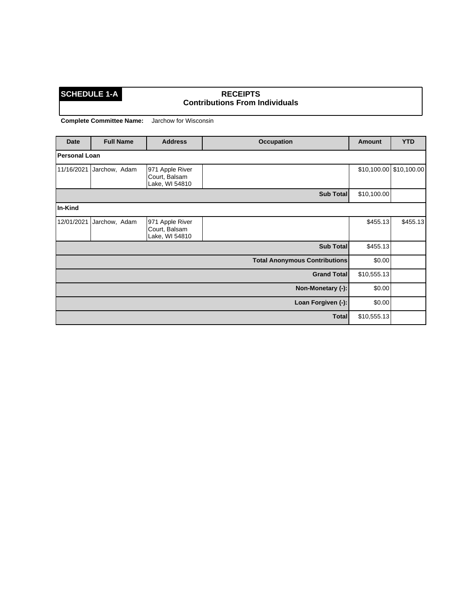### **SCHEDULE 1-A RECEIPTS Contributions From Individuals**

| Date          | <b>Full Name</b> | <b>Address</b>                                     | <b>Occupation</b>                    | Amount      | <b>YTD</b>  |
|---------------|------------------|----------------------------------------------------|--------------------------------------|-------------|-------------|
| Personal Loan |                  |                                                    |                                      |             |             |
| 11/16/2021    | Jarchow, Adam    | 971 Apple River<br>Court, Balsam<br>Lake, WI 54810 |                                      | \$10,100.00 | \$10,100.00 |
|               |                  |                                                    | Sub Total                            | \$10,100.00 |             |
| In-Kind       |                  |                                                    |                                      |             |             |
| 12/01/2021    | Jarchow, Adam    | 971 Apple River<br>Court, Balsam<br>Lake, WI 54810 |                                      | \$455.13    | \$455.13    |
|               |                  |                                                    | <b>Sub Total</b>                     | \$455.13    |             |
|               |                  |                                                    | <b>Total Anonymous Contributions</b> | \$0.00      |             |
|               |                  |                                                    | <b>Grand Total</b>                   | \$10,555.13 |             |
|               |                  |                                                    | Non-Monetary (-):                    | \$0.00      |             |
|               |                  |                                                    | Loan Forgiven (-):                   | \$0.00      |             |
|               |                  |                                                    | <b>Total</b>                         | \$10,555.13 |             |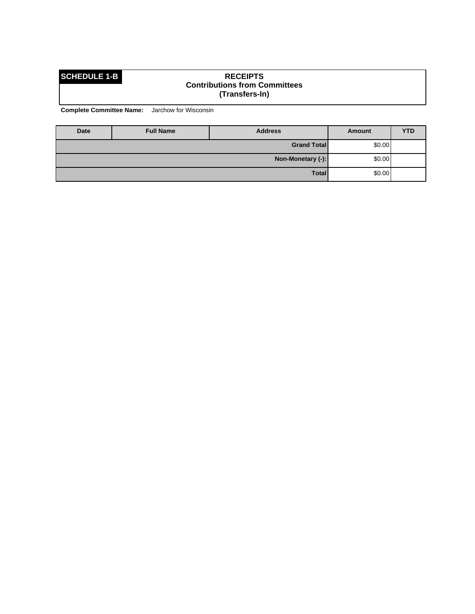### **SCHEDULE 1-B RECEIPTS Contributions from Committees (Transfers-In)**

| Date | <b>Full Name</b>  | <b>Address</b>     | Amount | <b>YTD</b> |
|------|-------------------|--------------------|--------|------------|
|      |                   | <b>Grand Total</b> | \$0.00 |            |
|      | Non-Monetary (-): |                    |        | \$0.00     |
|      |                   | <b>Total</b>       | \$0.00 |            |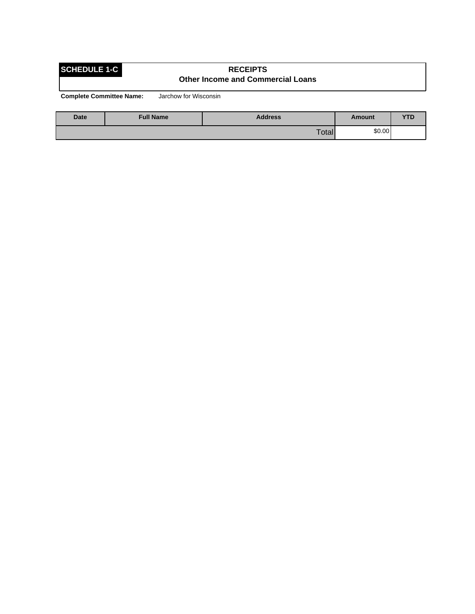### **SCHEDULE 1-C RECEIPTS Other Income and Commercial Loans**

| <b>Date</b> | <b>Full Name</b> | <b>Address</b> | Amount | VTP<br>1 L |
|-------------|------------------|----------------|--------|------------|
|             |                  | Total          | \$0.00 |            |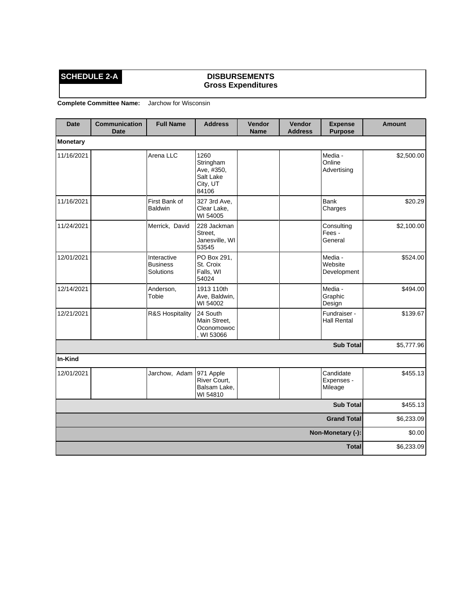### **SCHEDULE 2-A DISBURSEMENTS Gross Expenditures**

| <b>Date</b>       | <b>Communication</b><br><b>Date</b> | <b>Full Name</b>                            | <b>Address</b>                                                    | Vendor<br><b>Name</b> | Vendor<br><b>Address</b> | <b>Expense</b><br><b>Purpose</b>   | <b>Amount</b> |
|-------------------|-------------------------------------|---------------------------------------------|-------------------------------------------------------------------|-----------------------|--------------------------|------------------------------------|---------------|
| <b>Monetary</b>   |                                     |                                             |                                                                   |                       |                          |                                    |               |
| 11/16/2021        |                                     | Arena LLC                                   | 1260<br>Stringham<br>Ave, #350,<br>Salt Lake<br>City, UT<br>84106 |                       |                          | Media -<br>Online<br>Advertising   | \$2,500.00    |
| 11/16/2021        |                                     | First Bank of<br><b>Baldwin</b>             | 327 3rd Ave,<br>Clear Lake,<br>WI 54005                           |                       |                          | Bank<br>Charges                    | \$20.29       |
| 11/24/2021        |                                     | Merrick, David                              | 228 Jackman<br>Street,<br>Janesville, WI<br>53545                 |                       |                          | Consulting<br>Fees -<br>General    | \$2,100.00    |
| 12/01/2021        |                                     | Interactive<br><b>Business</b><br>Solutions | PO Box 291,<br>St. Croix<br>Falls, WI<br>54024                    |                       |                          | Media -<br>Website<br>Development  | \$524.00      |
| 12/14/2021        |                                     | Anderson,<br>Tobie                          | 1913 110th<br>Ave, Baldwin,<br>WI 54002                           |                       |                          | Media -<br>Graphic<br>Design       | \$494.00      |
| 12/21/2021        |                                     | R&S Hospitality                             | 24 South<br>Main Street,<br>Oconomowoc<br>WI 53066                |                       |                          | Fundraiser -<br><b>Hall Rental</b> | \$139.67      |
|                   |                                     |                                             |                                                                   |                       |                          | <b>Sub Total</b>                   | \$5,777.96    |
| In-Kind           |                                     |                                             |                                                                   |                       |                          |                                    |               |
| 12/01/2021        |                                     | Jarchow, Adam                               | 971 Apple<br>River Court,<br>Balsam Lake.<br>WI 54810             |                       |                          | Candidate<br>Expenses -<br>Mileage | \$455.13      |
|                   |                                     |                                             |                                                                   |                       |                          | <b>Sub Total</b>                   | \$455.13      |
|                   |                                     |                                             |                                                                   |                       |                          | <b>Grand Total</b>                 | \$6,233.09    |
| Non-Monetary (-): |                                     |                                             |                                                                   | \$0.00                |                          |                                    |               |
|                   |                                     |                                             |                                                                   |                       |                          | <b>Total</b>                       | \$6,233.09    |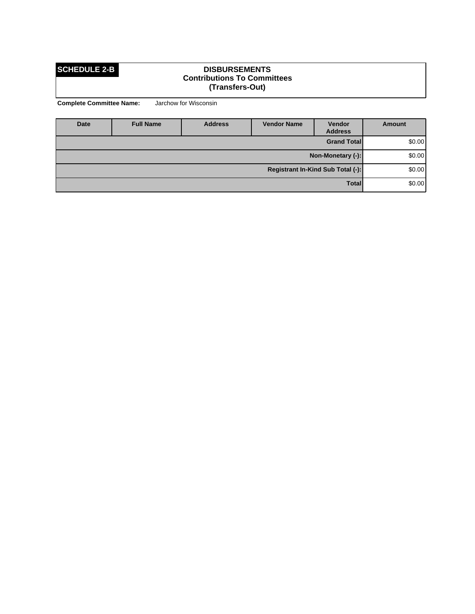### **SCHEDULE 2-B DISBURSEMENTS Contributions To Committees (Transfers-Out)**

| <b>Date</b>                       | <b>Full Name</b> | <b>Address</b> | <b>Vendor Name</b> | Vendor<br><b>Address</b> | Amount  |
|-----------------------------------|------------------|----------------|--------------------|--------------------------|---------|
|                                   |                  |                |                    | <b>Grand Total</b>       | \$0.00] |
| Non-Monetary (-):                 |                  |                |                    |                          | \$0.00] |
| Registrant In-Kind Sub Total (-): |                  |                |                    |                          | \$0.00] |
| <b>Total</b>                      |                  |                |                    |                          | \$0.00] |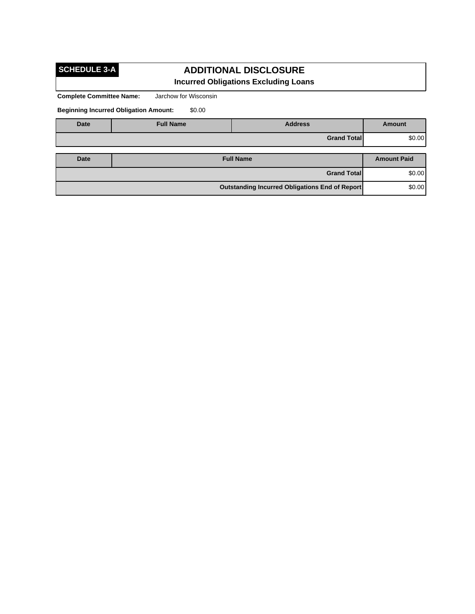# **SCHEDULE 3-A**

## **ADDITIONAL DISCLOSURE Incurred Obligations Excluding Loans**

**Complete Committee Name:** Jarchow for Wisconsin

**Beginning Incurred Obligation Amount:** \$0.00

| <b>Date</b>                                    | <b>Full Name</b> | <b>Address</b>     | <b>Amount</b>      |
|------------------------------------------------|------------------|--------------------|--------------------|
|                                                |                  | <b>Grand Total</b> | \$0.00             |
|                                                |                  |                    |                    |
| Date                                           |                  | <b>Full Name</b>   | <b>Amount Paid</b> |
|                                                | \$0.00           |                    |                    |
| Outstanding Incurred Obligations End of Report |                  |                    | \$0.00             |